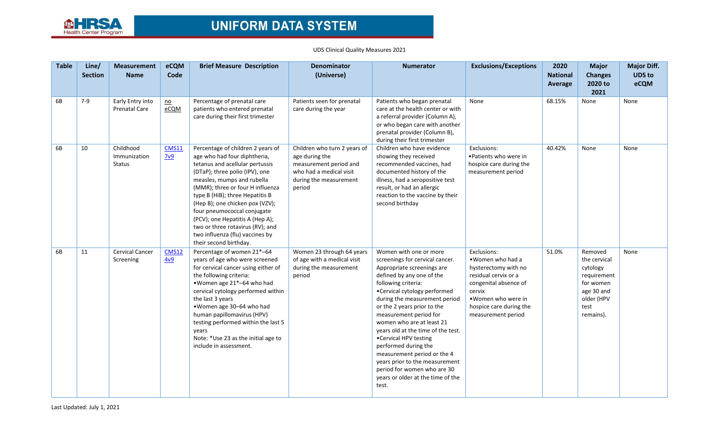

## UDS Clinical Quality Measures 2021

| <b>Table</b> | Line/<br><b>Section</b> | <b>Measurement</b><br><b>Name</b>          | eCQM<br>Code                      | <b>Brief Measure Description</b>                                                                                                                                                                                                                                                                                                                                                                                                                  | <b>Denominator</b><br>(Universe)                                                                                                        | <b>Numerator</b>                                                                                                                                                                                                                                                                                                                                                                                                                                                                                                                        | <b>Exclusions/Exceptions</b>                                                                                                                                                               | 2020<br><b>National</b><br><b>Average</b> | <b>Major</b><br><b>Changes</b><br>2020 to<br>2021                                                                | <b>Major Diff.</b><br><b>UDS to</b><br>eCQM |
|--------------|-------------------------|--------------------------------------------|-----------------------------------|---------------------------------------------------------------------------------------------------------------------------------------------------------------------------------------------------------------------------------------------------------------------------------------------------------------------------------------------------------------------------------------------------------------------------------------------------|-----------------------------------------------------------------------------------------------------------------------------------------|-----------------------------------------------------------------------------------------------------------------------------------------------------------------------------------------------------------------------------------------------------------------------------------------------------------------------------------------------------------------------------------------------------------------------------------------------------------------------------------------------------------------------------------------|--------------------------------------------------------------------------------------------------------------------------------------------------------------------------------------------|-------------------------------------------|------------------------------------------------------------------------------------------------------------------|---------------------------------------------|
| 6B           | 7-9                     | Early Entry into<br><b>Prenatal Care</b>   | $\underline{\mathsf{no}}$<br>eCQM | Percentage of prenatal care<br>patients who entered prenatal<br>care during their first trimester                                                                                                                                                                                                                                                                                                                                                 | Patients seen for prenatal<br>care during the year                                                                                      | Patients who began prenatal<br>care at the health center or with<br>a referral provider (Column A),<br>or who began care with another<br>prenatal provider (Column B),<br>during their first trimester                                                                                                                                                                                                                                                                                                                                  | None                                                                                                                                                                                       | 68.15%                                    | None                                                                                                             | None                                        |
| 6B           | 10                      | Childhood<br>Immunization<br><b>Status</b> | <b>CMS11</b><br>7v9               | Percentage of children 2 years of<br>age who had four diphtheria,<br>tetanus and acellular pertussis<br>(DTaP); three polio (IPV), one<br>measles, mumps and rubella<br>(MMR); three or four H influenza<br>type B (HiB); three Hepatitis B<br>(Hep B); one chicken pox (VZV);<br>four pneumococcal conjugate<br>(PCV); one Hepatitis A (Hep A);<br>two or three rotavirus (RV); and<br>two influenza (flu) vaccines by<br>their second birthday. | Children who turn 2 years of<br>age during the<br>measurement period and<br>who had a medical visit<br>during the measurement<br>period | Children who have evidence<br>showing they received<br>recommended vaccines, had<br>documented history of the<br>illness, had a seropositive test<br>result, or had an allergic<br>reaction to the vaccine by their<br>second birthday                                                                                                                                                                                                                                                                                                  | Exclusions:<br>• Patients who were in<br>hospice care during the<br>measurement period                                                                                                     | 40.42%                                    | None                                                                                                             | None                                        |
| 6B           | 11                      | Cervical Cancer<br>Screening               | <b>CMS12</b><br>4v9               | Percentage of women 21*-64<br>years of age who were screened<br>for cervical cancer using either of<br>the following criteria:<br>.Women age 21*-64 who had<br>cervical cytology performed within<br>the last 3 years<br>. Women age 30-64 who had<br>human papillomavirus (HPV)<br>testing performed within the last 5<br>vears<br>Note: *Use 23 as the initial age to<br>include in assessment.                                                 | Women 23 through 64 years<br>of age with a medical visit<br>during the measurement<br>period                                            | Women with one or more<br>screenings for cervical cancer.<br>Appropriate screenings are<br>defined by any one of the<br>following criteria:<br>•Cervical cytology performed<br>during the measurement period<br>or the 2 years prior to the<br>measurement period for<br>women who are at least 21<br>years old at the time of the test.<br>•Cervical HPV testing<br>performed during the<br>measurement period or the 4<br>years prior to the measurement<br>period for women who are 30<br>years or older at the time of the<br>test. | Exclusions:<br>•Women who had a<br>hysterectomy with no<br>residual cervix or a<br>congenital absence of<br>cervix<br>. Women who were in<br>hospice care during the<br>measurement period | 51.0%                                     | Removed<br>the cervical<br>cytology<br>requirement<br>for women<br>age 30 and<br>older (HPV<br>test<br>remains). | None                                        |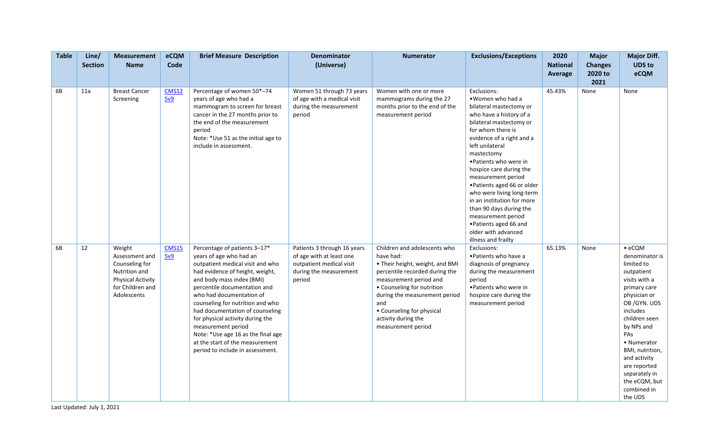| <b>Table</b> | Line/<br><b>Section</b> | <b>Measurement</b><br><b>Name</b>                                                                                          | eCQM<br>Code        | <b>Brief Measure Description</b>                                                                                                                                                                                                                                                                                                                                                                                                                                      | <b>Denominator</b><br>(Universe)                                                                                        | <b>Numerator</b>                                                                                                                                                                                                                                                                         | <b>Exclusions/Exceptions</b>                                                                                                                                                                                                                                                                                                                                                                                                                                                                       | 2020<br><b>National</b><br>Average | <b>Major</b><br><b>Changes</b><br>2020 to<br>2021 | <b>Major Diff.</b><br><b>UDS to</b><br>eCQM                                                                                                                                                                                                                                                                  |
|--------------|-------------------------|----------------------------------------------------------------------------------------------------------------------------|---------------------|-----------------------------------------------------------------------------------------------------------------------------------------------------------------------------------------------------------------------------------------------------------------------------------------------------------------------------------------------------------------------------------------------------------------------------------------------------------------------|-------------------------------------------------------------------------------------------------------------------------|------------------------------------------------------------------------------------------------------------------------------------------------------------------------------------------------------------------------------------------------------------------------------------------|----------------------------------------------------------------------------------------------------------------------------------------------------------------------------------------------------------------------------------------------------------------------------------------------------------------------------------------------------------------------------------------------------------------------------------------------------------------------------------------------------|------------------------------------|---------------------------------------------------|--------------------------------------------------------------------------------------------------------------------------------------------------------------------------------------------------------------------------------------------------------------------------------------------------------------|
| 6B           | 11a                     | <b>Breast Cancer</b><br>Screening                                                                                          | <b>CMS12</b><br>5v9 | Percentage of women 50*-74<br>years of age who had a<br>mammogram to screen for breast<br>cancer in the 27 months prior to<br>the end of the measurement<br>period<br>Note: *Use 51 as the initial age to<br>include in assessment.                                                                                                                                                                                                                                   | Women 51 through 73 years<br>of age with a medical visit<br>during the measurement<br>period                            | Women with one or more<br>mammograms during the 27<br>months prior to the end of the<br>measurement period                                                                                                                                                                               | Exclusions:<br>. Women who had a<br>bilateral mastectomy or<br>who have a history of a<br>bilateral mastectomy or<br>for whom there is<br>evidence of a right and a<br>left unilateral<br>mastectomy<br>• Patients who were in<br>hospice care during the<br>measurement period<br>• Patients aged 66 or older<br>who were living long-term<br>in an institution for more<br>than 90 days during the<br>measurement period<br>• Patients aged 66 and<br>older with advanced<br>illness and frailty | 45.43%                             | None                                              | None                                                                                                                                                                                                                                                                                                         |
| 6B           | 12                      | Weight<br>Assessment and<br>Counseling for<br>Nutrition and<br><b>Physical Activity</b><br>for Children and<br>Adolescents | <b>CMS15</b><br>5v9 | Percentage of patients 3-17*<br>years of age who had an<br>outpatient medical visit and who<br>had evidence of height, weight,<br>and body mass index (BMI)<br>percentile documentation and<br>who had documentation of<br>counseling for nutrition and who<br>had documentation of counseling<br>for physical activity during the<br>measurement period<br>Note: *Use age 16 as the final age<br>at the start of the measurement<br>period to include in assessment. | Patients 3 through 16 years<br>of age with at least one<br>outpatient medical visit<br>during the measurement<br>period | Children and adolescents who<br>have had:<br>• Their height, weight, and BMI<br>percentile recorded during the<br>measurement period and<br>• Counseling for nutrition<br>during the measurement period<br>and<br>• Counseling for physical<br>activity during the<br>measurement period | Exclusions:<br>• Patients who have a<br>diagnosis of pregnancy<br>during the measurement<br>period<br>• Patients who were in<br>hospice care during the<br>measurement period                                                                                                                                                                                                                                                                                                                      | 65.13%                             | None                                              | $\bullet$ eCQM<br>denominator is<br>limited to<br>outpatient<br>visits with a<br>primary care<br>physician or<br>OB/GYN. UDS<br>includes<br>children seen<br>by NPs and<br>PAs<br>• Numerator<br>BMI, nutrition,<br>and activity<br>are reported<br>separately in<br>the eCQM, but<br>combined in<br>the UDS |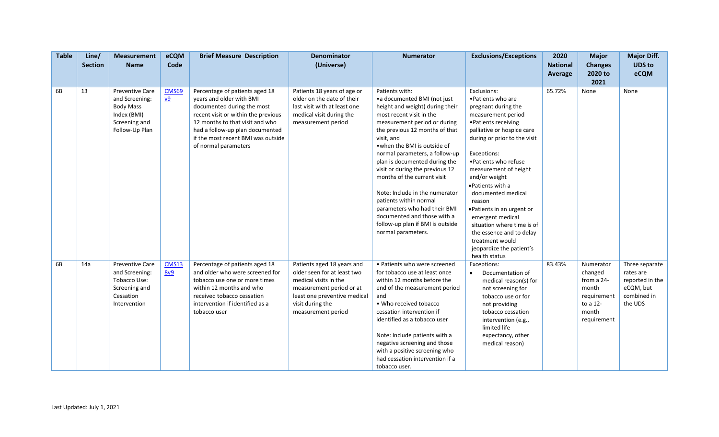| <b>Table</b> | Line/<br><b>Section</b> | <b>Measurement</b><br><b>Name</b>                                                                       | eCQM<br>Code                       | <b>Brief Measure Description</b>                                                                                                                                                                                                                                    | <b>Denominator</b><br>(Universe)                                                                                                                                                         | <b>Numerator</b>                                                                                                                                                                                                                                                                                                                                                                                                                                                                                                                                       | <b>Exclusions/Exceptions</b>                                                                                                                                                                                                                                                                                                                                                                                                                                                            | 2020<br><b>National</b><br>Average | <b>Major</b><br><b>Changes</b><br>2020 to                                                      | <b>Major Diff.</b><br><b>UDS to</b><br>eCQM                                           |
|--------------|-------------------------|---------------------------------------------------------------------------------------------------------|------------------------------------|---------------------------------------------------------------------------------------------------------------------------------------------------------------------------------------------------------------------------------------------------------------------|------------------------------------------------------------------------------------------------------------------------------------------------------------------------------------------|--------------------------------------------------------------------------------------------------------------------------------------------------------------------------------------------------------------------------------------------------------------------------------------------------------------------------------------------------------------------------------------------------------------------------------------------------------------------------------------------------------------------------------------------------------|-----------------------------------------------------------------------------------------------------------------------------------------------------------------------------------------------------------------------------------------------------------------------------------------------------------------------------------------------------------------------------------------------------------------------------------------------------------------------------------------|------------------------------------|------------------------------------------------------------------------------------------------|---------------------------------------------------------------------------------------|
| 6B           | 13                      | <b>Preventive Care</b><br>and Screening:<br>Body Mass<br>Index (BMI)<br>Screening and<br>Follow-Up Plan | CMS69<br>$\underline{\mathsf{v9}}$ | Percentage of patients aged 18<br>years and older with BMI<br>documented during the most<br>recent visit or within the previous<br>12 months to that visit and who<br>had a follow-up plan documented<br>if the most recent BMI was outside<br>of normal parameters | Patients 18 years of age or<br>older on the date of their<br>last visit with at least one<br>medical visit during the<br>measurement period                                              | Patients with:<br>•a documented BMI (not just<br>height and weight) during their<br>most recent visit in the<br>measurement period or during<br>the previous 12 months of that<br>visit, and<br>. when the BMI is outside of<br>normal parameters, a follow-up<br>plan is documented during the<br>visit or during the previous 12<br>months of the current visit<br>Note: Include in the numerator<br>patients within normal<br>parameters who had their BMI<br>documented and those with a<br>follow-up plan if BMI is outside<br>normal parameters. | Exclusions:<br>• Patients who are<br>pregnant during the<br>measurement period<br>• Patients receiving<br>palliative or hospice care<br>during or prior to the visit<br>Exceptions:<br>• Patients who refuse<br>measurement of height<br>and/or weight<br>• Patients with a<br>documented medical<br>reason<br>• Patients in an urgent or<br>emergent medical<br>situation where time is of<br>the essence and to delay<br>treatment would<br>jeopardize the patient's<br>health status | 65.72%                             | 2021<br>None                                                                                   | None                                                                                  |
| 6B           | 14a                     | <b>Preventive Care</b><br>and Screening:<br>Tobacco Use:<br>Screening and<br>Cessation<br>Intervention  | <b>CMS13</b><br>8v9                | Percentage of patients aged 18<br>and older who were screened for<br>tobacco use one or more times<br>within 12 months and who<br>received tobacco cessation<br>intervention if identified as a<br>tobacco user                                                     | Patients aged 18 years and<br>older seen for at least two<br>medical visits in the<br>measurement period or at<br>least one preventive medical<br>visit during the<br>measurement period | • Patients who were screened<br>for tobacco use at least once<br>within 12 months before the<br>end of the measurement period<br>and<br>. Who received tobacco<br>cessation intervention if<br>identified as a tobacco user<br>Note: Include patients with a<br>negative screening and those<br>with a positive screening who<br>had cessation intervention if a<br>tobacco user.                                                                                                                                                                      | Exceptions:<br>Documentation of<br>$\bullet$<br>medical reason(s) for<br>not screening for<br>tobacco use or for<br>not providing<br>tobacco cessation<br>intervention (e.g.,<br>limited life<br>expectancy, other<br>medical reason)                                                                                                                                                                                                                                                   | 83.43%                             | Numerator<br>changed<br>from a 24-<br>month<br>requirement<br>to a 12-<br>month<br>requirement | Three separate<br>rates are<br>reported in the<br>eCQM, but<br>combined in<br>the UDS |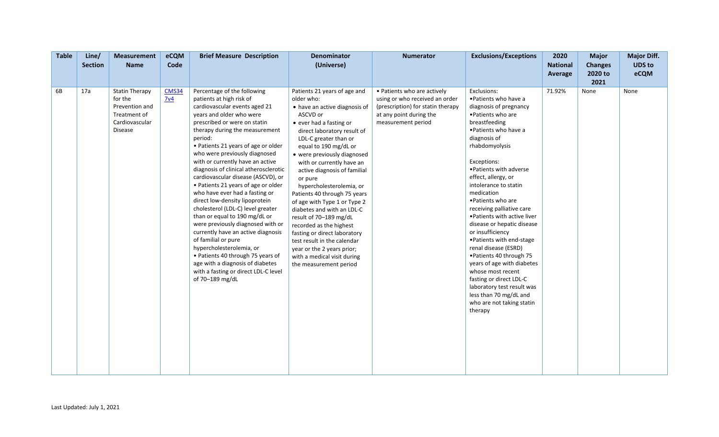| <b>Table</b> | Line/<br><b>Section</b> | <b>Measurement</b><br><b>Name</b>                                                               | eCQM<br>Code                    | <b>Brief Measure Description</b>                                                                                                                                                                                                                                                                                                                                                                                                                                                                                                                                                                                                                                                                                                                                                                                                                | Denominator<br>(Universe)                                                                                                                                                                                                                                                                                                                                                                                                                                                                                                                                                                                                                       | <b>Numerator</b>                                                                                                                                    | <b>Exclusions/Exceptions</b>                                                                                                                                                                                                                                                                                                                                                                                                                                                                                                                                                                                                                                                 | 2020<br><b>National</b><br>Average | <b>Major</b><br><b>Changes</b><br>2020 to<br>2021 | <b>Major Diff.</b><br><b>UDS to</b><br>eCQM |
|--------------|-------------------------|-------------------------------------------------------------------------------------------------|---------------------------------|-------------------------------------------------------------------------------------------------------------------------------------------------------------------------------------------------------------------------------------------------------------------------------------------------------------------------------------------------------------------------------------------------------------------------------------------------------------------------------------------------------------------------------------------------------------------------------------------------------------------------------------------------------------------------------------------------------------------------------------------------------------------------------------------------------------------------------------------------|-------------------------------------------------------------------------------------------------------------------------------------------------------------------------------------------------------------------------------------------------------------------------------------------------------------------------------------------------------------------------------------------------------------------------------------------------------------------------------------------------------------------------------------------------------------------------------------------------------------------------------------------------|-----------------------------------------------------------------------------------------------------------------------------------------------------|------------------------------------------------------------------------------------------------------------------------------------------------------------------------------------------------------------------------------------------------------------------------------------------------------------------------------------------------------------------------------------------------------------------------------------------------------------------------------------------------------------------------------------------------------------------------------------------------------------------------------------------------------------------------------|------------------------------------|---------------------------------------------------|---------------------------------------------|
| 6B           | 17a                     | <b>Statin Therapy</b><br>for the<br>Prevention and<br>Treatment of<br>Cardiovascular<br>Disease | <b>CMS34</b><br>7 <sup>v4</sup> | Percentage of the following<br>patients at high risk of<br>cardiovascular events aged 21<br>years and older who were<br>prescribed or were on statin<br>therapy during the measurement<br>period:<br>• Patients 21 years of age or older<br>who were previously diagnosed<br>with or currently have an active<br>diagnosis of clinical atherosclerotic<br>cardiovascular disease (ASCVD), or<br>• Patients 21 years of age or older<br>who have ever had a fasting or<br>direct low-density lipoprotein<br>cholesterol (LDL-C) level greater<br>than or equal to 190 mg/dL or<br>were previously diagnosed with or<br>currently have an active diagnosis<br>of familial or pure<br>hypercholesterolemia, or<br>• Patients 40 through 75 years of<br>age with a diagnosis of diabetes<br>with a fasting or direct LDL-C level<br>of 70-189 mg/dL | Patients 21 years of age and<br>older who:<br>• have an active diagnosis of<br>ASCVD or<br>• ever had a fasting or<br>direct laboratory result of<br>LDL-C greater than or<br>equal to 190 mg/dL or<br>• were previously diagnosed<br>with or currently have an<br>active diagnosis of familial<br>or pure<br>hypercholesterolemia, or<br>Patients 40 through 75 years<br>of age with Type 1 or Type 2<br>diabetes and with an LDL-C<br>result of 70-189 mg/dL<br>recorded as the highest<br>fasting or direct laboratory<br>test result in the calendar<br>year or the 2 years prior;<br>with a medical visit during<br>the measurement period | • Patients who are actively<br>using or who received an order<br>(prescription) for statin therapy<br>at any point during the<br>measurement period | Exclusions:<br>• Patients who have a<br>diagnosis of pregnancy<br>• Patients who are<br>breastfeeding<br>• Patients who have a<br>diagnosis of<br>rhabdomyolysis<br>Exceptions:<br>• Patients with adverse<br>effect, allergy, or<br>intolerance to statin<br>medication<br>• Patients who are<br>receiving palliative care<br>. Patients with active liver<br>disease or hepatic disease<br>or insufficiency<br>• Patients with end-stage<br>renal disease (ESRD)<br>• Patients 40 through 75<br>years of age with diabetes<br>whose most recent<br>fasting or direct LDL-C<br>laboratory test result was<br>less than 70 mg/dL and<br>who are not taking statin<br>therapy | 71.92%                             | None                                              | None                                        |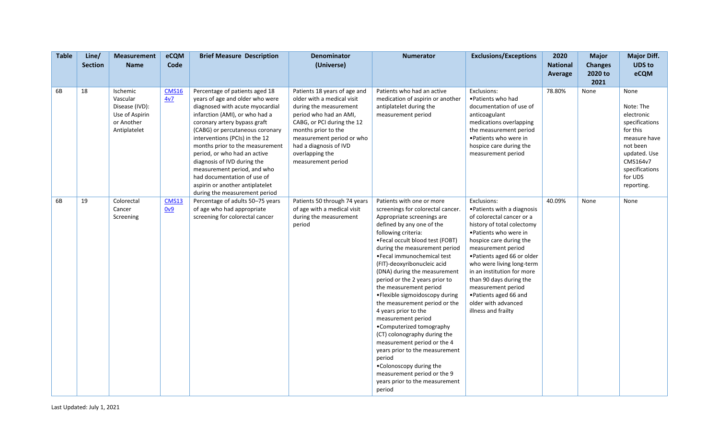| <b>Table</b> | Line/<br><b>Section</b> | <b>Measurement</b><br><b>Name</b>                                                      | eCQM<br>Code                   | <b>Brief Measure Description</b>                                                                                                                                                                                                                                                                                                                                                                                                                                                | <b>Denominator</b><br>(Universe)                                                                                                                                                                                                                                    | <b>Numerator</b>                                                                                                                                                                                                                                                                                                                                                                                                                                                                                                                                                                                                                                                                                                                              | <b>Exclusions/Exceptions</b>                                                                                                                                                                                                                                                                                                                                                                        | 2020<br><b>National</b><br>Average | <b>Major</b><br><b>Changes</b><br>2020 to<br>2021 | <b>Major Diff.</b><br><b>UDS</b> to<br>eCQM                                                                                                                      |
|--------------|-------------------------|----------------------------------------------------------------------------------------|--------------------------------|---------------------------------------------------------------------------------------------------------------------------------------------------------------------------------------------------------------------------------------------------------------------------------------------------------------------------------------------------------------------------------------------------------------------------------------------------------------------------------|---------------------------------------------------------------------------------------------------------------------------------------------------------------------------------------------------------------------------------------------------------------------|-----------------------------------------------------------------------------------------------------------------------------------------------------------------------------------------------------------------------------------------------------------------------------------------------------------------------------------------------------------------------------------------------------------------------------------------------------------------------------------------------------------------------------------------------------------------------------------------------------------------------------------------------------------------------------------------------------------------------------------------------|-----------------------------------------------------------------------------------------------------------------------------------------------------------------------------------------------------------------------------------------------------------------------------------------------------------------------------------------------------------------------------------------------------|------------------------------------|---------------------------------------------------|------------------------------------------------------------------------------------------------------------------------------------------------------------------|
| 6B           | 18                      | Ischemic<br>Vascular<br>Disease (IVD):<br>Use of Aspirin<br>or Another<br>Antiplatelet | <b>CMS16</b><br>4v7            | Percentage of patients aged 18<br>years of age and older who were<br>diagnosed with acute myocardial<br>infarction (AMI), or who had a<br>coronary artery bypass graft<br>(CABG) or percutaneous coronary<br>interventions (PCIs) in the 12<br>months prior to the measurement<br>period, or who had an active<br>diagnosis of IVD during the<br>measurement period, and who<br>had documentation of use of<br>aspirin or another antiplatelet<br>during the measurement period | Patients 18 years of age and<br>older with a medical visit<br>during the measurement<br>period who had an AMI,<br>CABG, or PCI during the 12<br>months prior to the<br>measurement period or who<br>had a diagnosis of IVD<br>overlapping the<br>measurement period | Patients who had an active<br>medication of aspirin or another<br>antiplatelet during the<br>measurement period                                                                                                                                                                                                                                                                                                                                                                                                                                                                                                                                                                                                                               | Exclusions:<br>• Patients who had<br>documentation of use of<br>anticoagulant<br>medications overlapping<br>the measurement period<br>·Patients who were in<br>hospice care during the<br>measurement period                                                                                                                                                                                        | 78.80%                             | None                                              | None<br>Note: The<br>electronic<br>specifications<br>for this<br>measure have<br>not been<br>updated. Use<br>CMS164v7<br>specifications<br>for UDS<br>reporting. |
| 6B           | 19                      | Colorectal<br>Cancer<br>Screening                                                      | <b>CMS13</b><br>0 <sub>0</sub> | Percentage of adults 50-75 years<br>of age who had appropriate<br>screening for colorectal cancer                                                                                                                                                                                                                                                                                                                                                                               | Patients 50 through 74 years<br>of age with a medical visit<br>during the measurement<br>period                                                                                                                                                                     | Patients with one or more<br>screenings for colorectal cancer.<br>Appropriate screenings are<br>defined by any one of the<br>following criteria:<br>•Fecal occult blood test (FOBT)<br>during the measurement period<br>·Fecal immunochemical test<br>(FIT)-deoxyribonucleic acid<br>(DNA) during the measurement<br>period or the 2 years prior to<br>the measurement period<br>• Flexible sigmoidoscopy during<br>the measurement period or the<br>4 years prior to the<br>measurement period<br>•Computerized tomography<br>(CT) colonography during the<br>measurement period or the 4<br>years prior to the measurement<br>period<br>. Colonoscopy during the<br>measurement period or the 9<br>years prior to the measurement<br>period | Exclusions:<br>• Patients with a diagnosis<br>of colorectal cancer or a<br>history of total colectomy<br>. Patients who were in<br>hospice care during the<br>measurement period<br>• Patients aged 66 or older<br>who were living long-term<br>in an institution for more<br>than 90 days during the<br>measurement period<br>• Patients aged 66 and<br>older with advanced<br>illness and frailty | 40.09%                             | None                                              | None                                                                                                                                                             |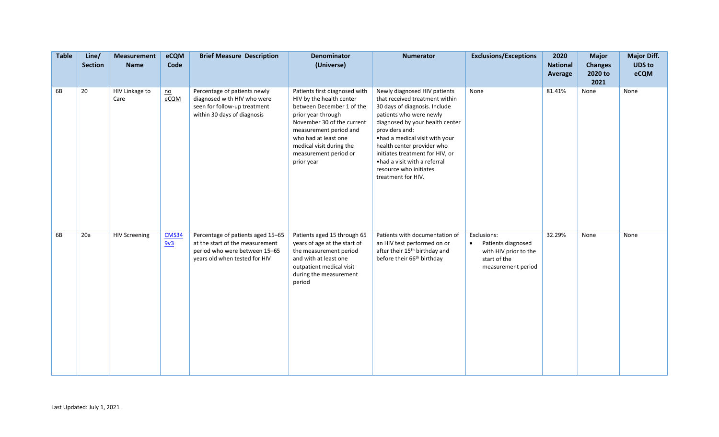| <b>Table</b> | Line/<br><b>Section</b> | <b>Measurement</b><br><b>Name</b> | eCQM<br>Code             | <b>Brief Measure Description</b>                                                                                                       | Denominator<br>(Universe)                                                                                                                                                                                                                                       | <b>Numerator</b>                                                                                                                                                                                                                                                                                                                                                    | <b>Exclusions/Exceptions</b>                                                                                  | 2020<br><b>National</b><br>Average | <b>Major</b><br><b>Changes</b><br>2020 to<br>2021 | <b>Major Diff.</b><br><b>UDS to</b><br>eCQM |
|--------------|-------------------------|-----------------------------------|--------------------------|----------------------------------------------------------------------------------------------------------------------------------------|-----------------------------------------------------------------------------------------------------------------------------------------------------------------------------------------------------------------------------------------------------------------|---------------------------------------------------------------------------------------------------------------------------------------------------------------------------------------------------------------------------------------------------------------------------------------------------------------------------------------------------------------------|---------------------------------------------------------------------------------------------------------------|------------------------------------|---------------------------------------------------|---------------------------------------------|
| 6B           | 20                      | HIV Linkage to<br>Care            | $\underline{no}$<br>eCQM | Percentage of patients newly<br>diagnosed with HIV who were<br>seen for follow-up treatment<br>within 30 days of diagnosis             | Patients first diagnosed with<br>HIV by the health center<br>between December 1 of the<br>prior year through<br>November 30 of the current<br>measurement period and<br>who had at least one<br>medical visit during the<br>measurement period or<br>prior year | Newly diagnosed HIV patients<br>that received treatment within<br>30 days of diagnosis. Include<br>patients who were newly<br>diagnosed by your health center<br>providers and:<br>.had a medical visit with your<br>health center provider who<br>initiates treatment for HIV, or<br>• had a visit with a referral<br>resource who initiates<br>treatment for HIV. | None                                                                                                          | 81.41%                             | None                                              | None                                        |
| 6B           | 20a                     | <b>HIV Screening</b>              | <b>CMS34</b><br>9v3      | Percentage of patients aged 15-65<br>at the start of the measurement<br>period who were between 15-65<br>years old when tested for HIV | Patients aged 15 through 65<br>years of age at the start of<br>the measurement period<br>and with at least one<br>outpatient medical visit<br>during the measurement<br>period                                                                                  | Patients with documentation of<br>an HIV test performed on or<br>after their 15 <sup>th</sup> birthday and<br>before their 66 <sup>th</sup> birthday                                                                                                                                                                                                                | Exclusions:<br>Patients diagnosed<br>$\bullet$<br>with HIV prior to the<br>start of the<br>measurement period | 32.29%                             | None                                              | None                                        |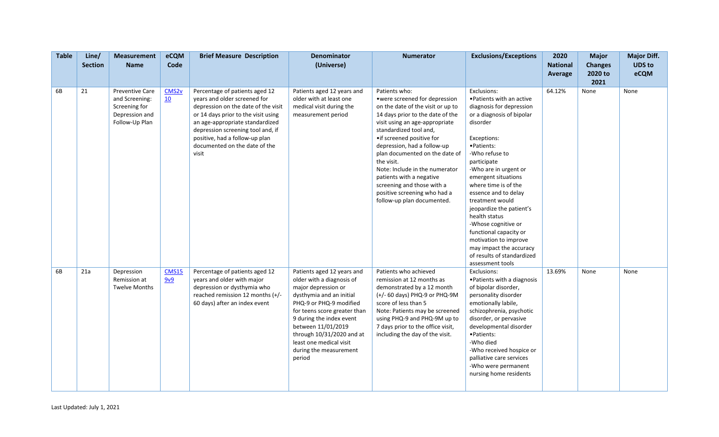| <b>Table</b> | Line/<br><b>Section</b> | <b>Measurement</b><br><b>Name</b>                                                             | eCQM<br>Code            | <b>Brief Measure Description</b>                                                                                                                                                                                                                                                                 | <b>Denominator</b><br>(Universe)                                                                                                                                                                                                                                                                                    | <b>Numerator</b>                                                                                                                                                                                                                                                                                                                                                                                                                                            | <b>Exclusions/Exceptions</b>                                                                                                                                                                                                                                                                                                                                                                                                                                                                       | 2020<br><b>National</b><br>Average | <b>Major</b><br><b>Changes</b><br>2020 to<br>2021 | <b>Major Diff.</b><br><b>UDS to</b><br>eCQM |
|--------------|-------------------------|-----------------------------------------------------------------------------------------------|-------------------------|--------------------------------------------------------------------------------------------------------------------------------------------------------------------------------------------------------------------------------------------------------------------------------------------------|---------------------------------------------------------------------------------------------------------------------------------------------------------------------------------------------------------------------------------------------------------------------------------------------------------------------|-------------------------------------------------------------------------------------------------------------------------------------------------------------------------------------------------------------------------------------------------------------------------------------------------------------------------------------------------------------------------------------------------------------------------------------------------------------|----------------------------------------------------------------------------------------------------------------------------------------------------------------------------------------------------------------------------------------------------------------------------------------------------------------------------------------------------------------------------------------------------------------------------------------------------------------------------------------------------|------------------------------------|---------------------------------------------------|---------------------------------------------|
| 6B           | 21                      | <b>Preventive Care</b><br>and Screening:<br>Screening for<br>Depression and<br>Follow-Up Plan | CMS <sub>2v</sub><br>10 | Percentage of patients aged 12<br>years and older screened for<br>depression on the date of the visit<br>or 14 days prior to the visit using<br>an age-appropriate standardized<br>depression screening tool and, if<br>positive, had a follow-up plan<br>documented on the date of the<br>visit | Patients aged 12 years and<br>older with at least one<br>medical visit during the<br>measurement period                                                                                                                                                                                                             | Patients who:<br>• were screened for depression<br>on the date of the visit or up to<br>14 days prior to the date of the<br>visit using an age-appropriate<br>standardized tool and,<br>• if screened positive for<br>depression, had a follow-up<br>plan documented on the date of<br>the visit.<br>Note: Include in the numerator<br>patients with a negative<br>screening and those with a<br>positive screening who had a<br>follow-up plan documented. | Exclusions:<br>. Patients with an active<br>diagnosis for depression<br>or a diagnosis of bipolar<br>disorder<br>Exceptions:<br>·Patients:<br>-Who refuse to<br>participate<br>-Who are in urgent or<br>emergent situations<br>where time is of the<br>essence and to delay<br>treatment would<br>jeopardize the patient's<br>health status<br>-Whose cognitive or<br>functional capacity or<br>motivation to improve<br>may impact the accuracy<br>of results of standardized<br>assessment tools | 64.12%                             | None                                              | None                                        |
| 6B           | 21a                     | Depression<br>Remission at<br><b>Twelve Months</b>                                            | <b>CMS15</b><br>9v9     | Percentage of patients aged 12<br>years and older with major<br>depression or dysthymia who<br>reached remission 12 months (+/-<br>60 days) after an index event                                                                                                                                 | Patients aged 12 years and<br>older with a diagnosis of<br>major depression or<br>dysthymia and an initial<br>PHQ-9 or PHQ-9 modified<br>for teens score greater than<br>9 during the index event<br>between 11/01/2019<br>through 10/31/2020 and at<br>least one medical visit<br>during the measurement<br>period | Patients who achieved<br>remission at 12 months as<br>demonstrated by a 12 month<br>(+/- 60 days) PHQ-9 or PHQ-9M<br>score of less than 5<br>Note: Patients may be screened<br>using PHQ-9 and PHQ-9M up to<br>7 days prior to the office visit,<br>including the day of the visit.                                                                                                                                                                         | Exclusions:<br>• Patients with a diagnosis<br>of bipolar disorder,<br>personality disorder<br>emotionally labile,<br>schizophrenia, psychotic<br>disorder, or pervasive<br>developmental disorder<br>·Patients:<br>-Who died<br>-Who received hospice or<br>palliative care services<br>-Who were permanent<br>nursing home residents                                                                                                                                                              | 13.69%                             | None                                              | None                                        |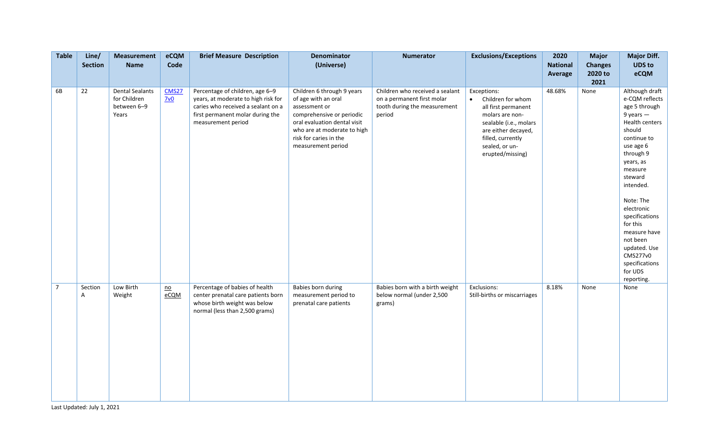| <b>Table</b>   | Line/<br><b>Section</b> | <b>Measurement</b><br><b>Name</b>                              | eCQM<br>Code                      | <b>Brief Measure Description</b>                                                                                                                                       | Denominator<br>(Universe)                                                                                                                                                                                      | <b>Numerator</b>                                                                                        | <b>Exclusions/Exceptions</b>                                                                                                                                                                        | 2020<br><b>National</b><br>Average | <b>Major</b><br><b>Changes</b><br>2020 to<br>2021 | <b>Major Diff.</b><br><b>UDS to</b><br>eCQM                                                                                                                                                                                                                                                                                                         |
|----------------|-------------------------|----------------------------------------------------------------|-----------------------------------|------------------------------------------------------------------------------------------------------------------------------------------------------------------------|----------------------------------------------------------------------------------------------------------------------------------------------------------------------------------------------------------------|---------------------------------------------------------------------------------------------------------|-----------------------------------------------------------------------------------------------------------------------------------------------------------------------------------------------------|------------------------------------|---------------------------------------------------|-----------------------------------------------------------------------------------------------------------------------------------------------------------------------------------------------------------------------------------------------------------------------------------------------------------------------------------------------------|
| 6B             | 22                      | <b>Dental Sealants</b><br>for Children<br>between 6-9<br>Years | CMS27<br>$\frac{7v0}{2}$          | Percentage of children, age 6-9<br>years, at moderate to high risk for<br>caries who received a sealant on a<br>first permanent molar during the<br>measurement period | Children 6 through 9 years<br>of age with an oral<br>assessment or<br>comprehensive or periodic<br>oral evaluation dental visit<br>who are at moderate to high<br>risk for caries in the<br>measurement period | Children who received a sealant<br>on a permanent first molar<br>tooth during the measurement<br>period | Exceptions:<br>Children for whom<br>$\bullet$<br>all first permanent<br>molars are non-<br>sealable (i.e., molars<br>are either decayed,<br>filled, currently<br>sealed, or un-<br>erupted/missing) | 48.68%                             | None                                              | Although draft<br>e-CQM reflects<br>age 5 through<br>$9$ years $-$<br>Health centers<br>should<br>continue to<br>use age 6<br>through 9<br>years, as<br>measure<br>steward<br>intended.<br>Note: The<br>electronic<br>specifications<br>for this<br>measure have<br>not been<br>updated. Use<br>CMS277v0<br>specifications<br>for UDS<br>reporting. |
| $\overline{7}$ | Section<br>A            | Low Birth<br>Weight                                            | $\underline{\mathsf{no}}$<br>eCQM | Percentage of babies of health<br>center prenatal care patients born<br>whose birth weight was below<br>normal (less than 2,500 grams)                                 | Babies born during<br>measurement period to<br>prenatal care patients                                                                                                                                          | Babies born with a birth weight<br>below normal (under 2,500<br>grams)                                  | Exclusions:<br>Still-births or miscarriages                                                                                                                                                         | 8.18%                              | None                                              | None                                                                                                                                                                                                                                                                                                                                                |